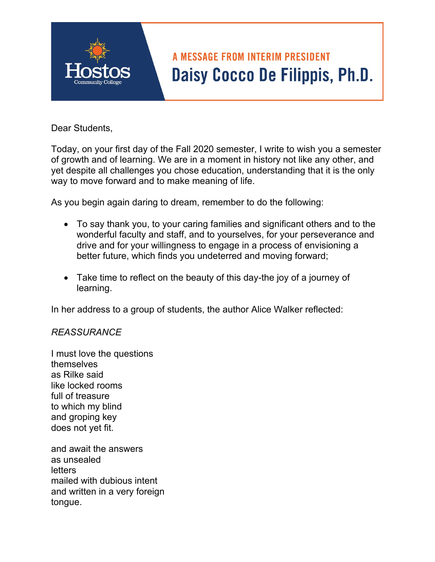## **A MESSAGE FROM INTERIM PRESIDENT** Daisy Cocco De Filippis, Ph.D.

Dear Students,

Today, on your first day of the Fall 2020 semester, I write to wish you a semester of growth and of learning. We are in a moment in history not like any other, and yet despite all challenges you chose education, understanding that it is the only way to move forward and to make meaning of life.

As you begin again daring to dream, remember to do the following:

- To say thank you, to your caring families and significant others and to the wonderful faculty and staff, and to yourselves, for your perseverance and drive and for your willingness to engage in a process of envisioning a better future, which finds you undeterred and moving forward;
- Take time to reflect on the beauty of this day-the joy of a journey of learning.

In her address to a group of students, the author Alice Walker reflected:

## *REASSURANCE*

I must love the questions themselves as Rilke said like locked rooms full of treasure to which my blind and groping key does not yet fit.

and await the answers as unsealed **letters** mailed with dubious intent and written in a very foreign tongue.